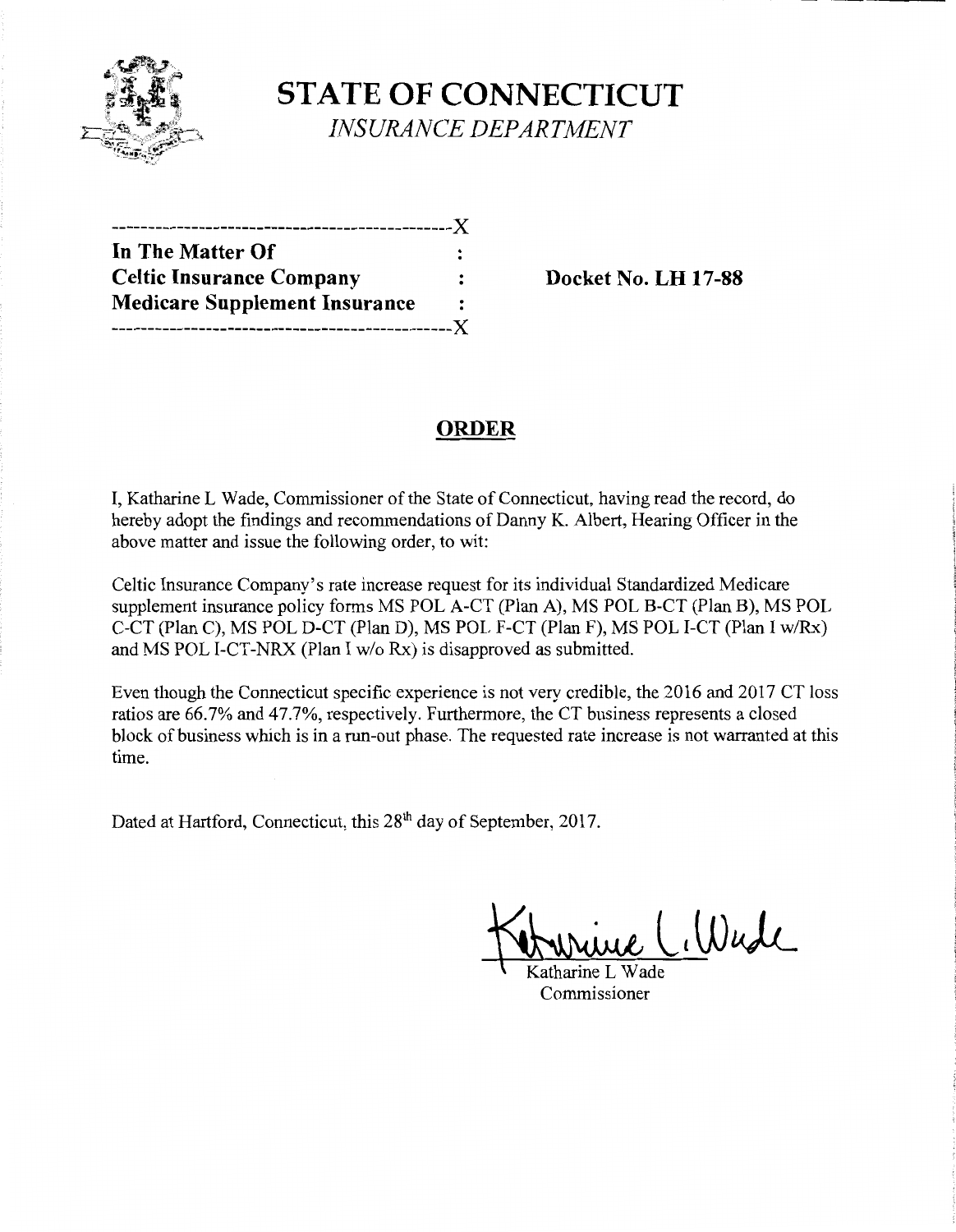

**STATE OF CONNECTICUT**  *INSURANCE DEPARTMENT* 

| In The Matter Of                     |   |
|--------------------------------------|---|
| <b>Celtic Insurance Company</b>      |   |
| <b>Medicare Supplement Insurance</b> | : |
| ---------------------------X         |   |

**Celtic Insurance Company Docket** No. **LH 17-88** 

# **ORDER**

I, Katharine L Wade, Commissioner of the State of Connecticut, having read the record, do hereby adopt the findings and recommendations of Danny K. Albert, Hearing Officer in the above matter and issue the following order, to wit:

Celtic Insurance Company's rate increase request for its individual Standardized Medicare supplement insurance policy forms MS POL A-CT (Plan A), MS POL B-CT (Plan B), MS POL C-CT (Plan C), MS POL D-CT (Plan D), MS POL F-CT (Plan F), MS POL I-CT (Plan I w/Rx) and MS POL I-CT-NRX (Plan I w/o Rx) is disapproved as submitted.

Even though the Connecticut specific experience is not very credible, the 2016 and 2017 CT loss ratios are 66.7% and 47.7%, respectively. Furthermore, the CT business represents a closed block of business which is in a run-out phase. The requested rate increase is not warranted at this time.

Dated at Hartford, Connecticut, this 28<sup>th</sup> day of September, 2017.

Cillade

Commissioner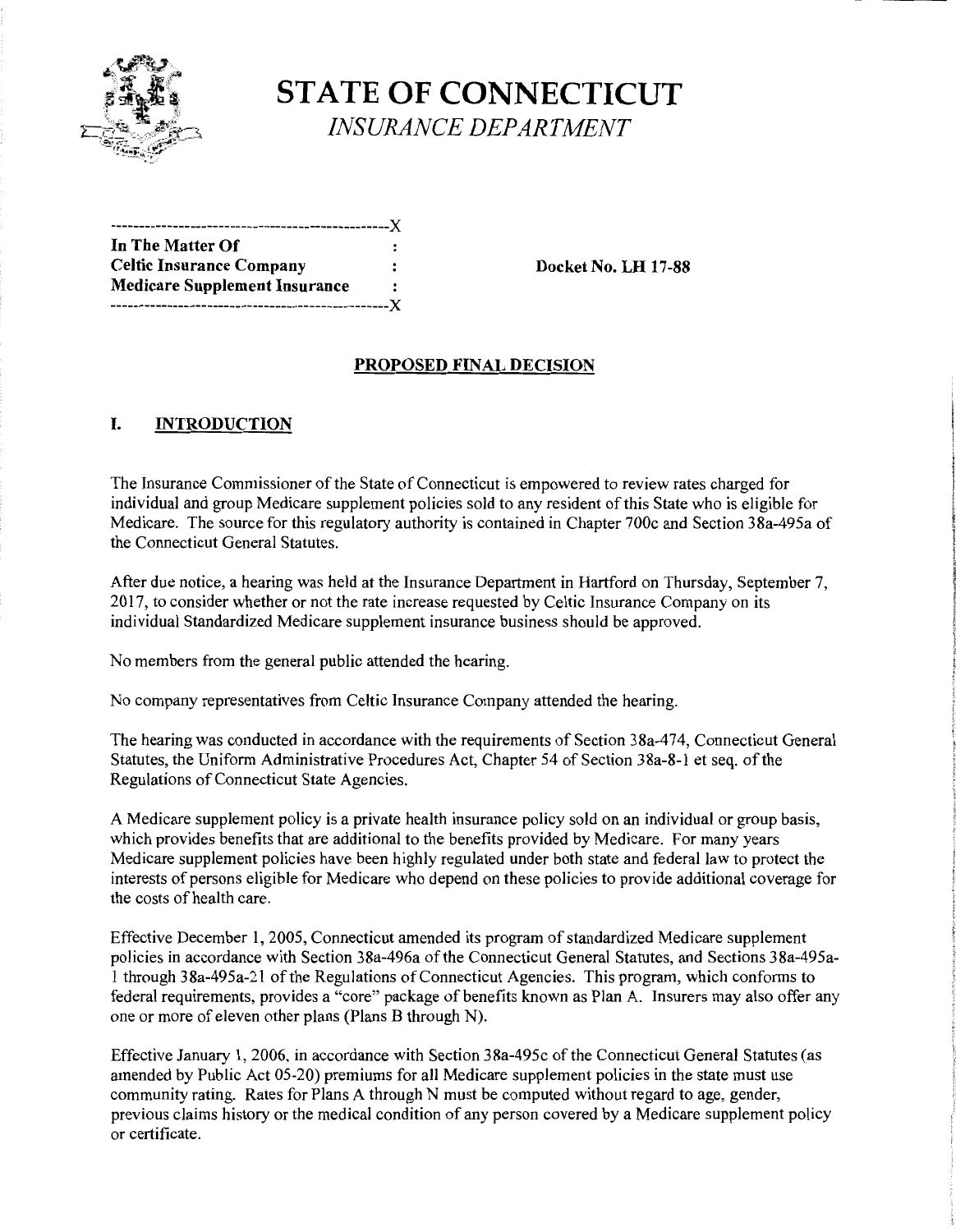

# **STATE OF CONNECTICUT**  *INSURANCE DEPARTMENT*

| In The Matter Of                     |                      |
|--------------------------------------|----------------------|
| <b>Celtic Insurance Company</b>      |                      |
| <b>Medicare Supplement Insurance</b> | $\ddot{\phantom{a}}$ |
|                                      |                      |

**Docket No. LH 17-88** 

### **PROPOSED FINAL DECISION**

## **I. INTRODUCTION**

The Insurance Commissioner of the State of Connecticut is empowered to review rates charged for individual and group Medicare supplement policies sold to any resident of this State who is eligible for Medicare. The source for this regulatory authority is contained in Chapter 700c and Section 38a-495a of the Connecticut General Statutes.

After due notice, a hearing was held at the Insurance Department in Hartford on Thursday, September 7, 2017, to consider whether or not the rate increase requested by Celtic Insurance Company on its individual Standardized Medicare supplement insurance business should be approved.

No members from the general public attended the hearing.

No company representatives from Celtic Insurance Company attended the hearing.

The hearing was conducted in accordance with the requirements of Section 38a-474, Connecticut General Statutes, the Uniform Administrative Procedures Act, Chapter 54 of Section 38a-8-1 et seq. of the Regulations of Connecticut State Agencies.

A Medicare supplement policy is a private health insurance policy sold on an individual or group basis, which provides benefits that are additional to the benefits provided by Medicare. For many years Medicare supplement policies have been highly regulated under both state and federal law to protect the interests of persons eligible for Medicare who depend on these policies to provide additional coverage for the costs of health care.

Effective December 1, 2005, Connecticut amended its program of standardized Medicare supplement policies in accordance with Section 38a-496a of the Connecticut General Statutes, and Sections 38a-495a-1 through 38a-495a-21 ofthe Regulations ofConnecticut Agencies. This program, which conforms to federal requirements, provides a "core" package of benefits known as Plan A. Insurers may also offer any one or more of eleven other plans (Plans B through N).

Effective January 1, 2006, in accordance with Section 3 8a-495c of the Connecticut General Statutes (as amended by Public Act 05-20) premiums for all Medicare supplement policies in the state must use community rating. Rates for Plans A through N must be computed without regard to age, gender, previous claims history or the medical condition of any person covered by a Medicare supplement policy or certificate.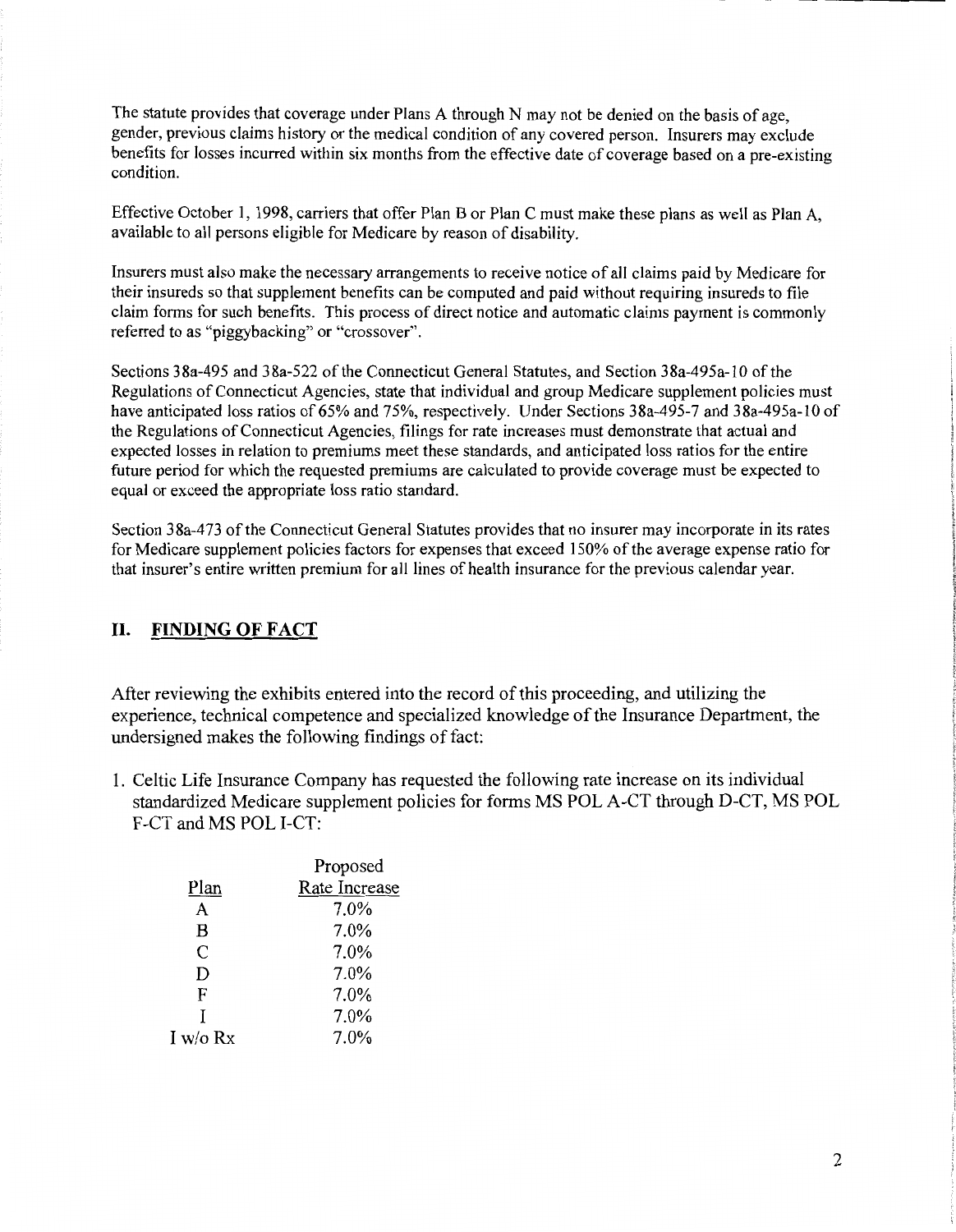The statute provides that coverage under Plans A through N may not be denied on the basis of age, gender, previous claims history or the medical condition of any covered person. Insurers may exclude benefits for losses incurred within six months from the effective date of coverage based on a pre-existing condition.

Effective October I, 1998, carriers that offer Plan B or Plan C must make these plans as well as Plan A, available to all persons eligible for Medicare by reason of disability.

Insurers must also make the necessary arrangements to receive notice of all claims paid by Medicare for their insureds so that supplement benefits can be computed and paid without requiring insureds to file claim forms for such benefits. This process of direct notice and automatic claims payment is commonly referred to as "piggybacking" or "crossover".

Sections 38a-495 and 38a-522 of the Connecticut General Statutes, and Section 38a-495a-10 of the Regulations of Connecticut Agencies, state that individual and group Medicare supplement policies must have anticipated loss ratios of 65% and 75%, respectively. Under Sections 38a-495-7 and 38a-495a-10 of the Regulations of Connecticut Agencies, filings for rate increases must demonstrate that actual and expected losses in relation to premiums meet these standards, and anticipated loss ratios for the entire future period for which the requested premiums are calculated to provide coverage must be expected to equal or exceed the appropriate loss ratio standard.

Section 38a-473 of the Connecticut General Statutes provides that no insurer may incorporate in its rates for Medicare supplement policies factors for expenses that exceed 150% of the average expense ratio for that insurer's entire written premium for all lines of health insurance for the previous calendar year.

### **II. FINDING OF FACT**

After reviewing the exhibits entered into the record of this proceeding, and utilizing the experience, technical competence and specialized knowledge of the Insurance Department, the undersigned makes the following findings of fact:

1. Celtic Life Insurance Company has requested the following rate increase on its individual standardized Medicare supplement policies for forms MS POL A-CT through D-CT, MS POL F-CT and MS POL I-CT:

|            | Proposed      |
|------------|---------------|
| Plan       | Rate Increase |
| A          | 7.0%          |
| B          | 7.0%          |
| C          | 7.0%          |
| D          | 7.0%          |
| F          | 7.0%          |
| T          | 7.0%          |
| I w/o $Rx$ | 7.0%          |
|            |               |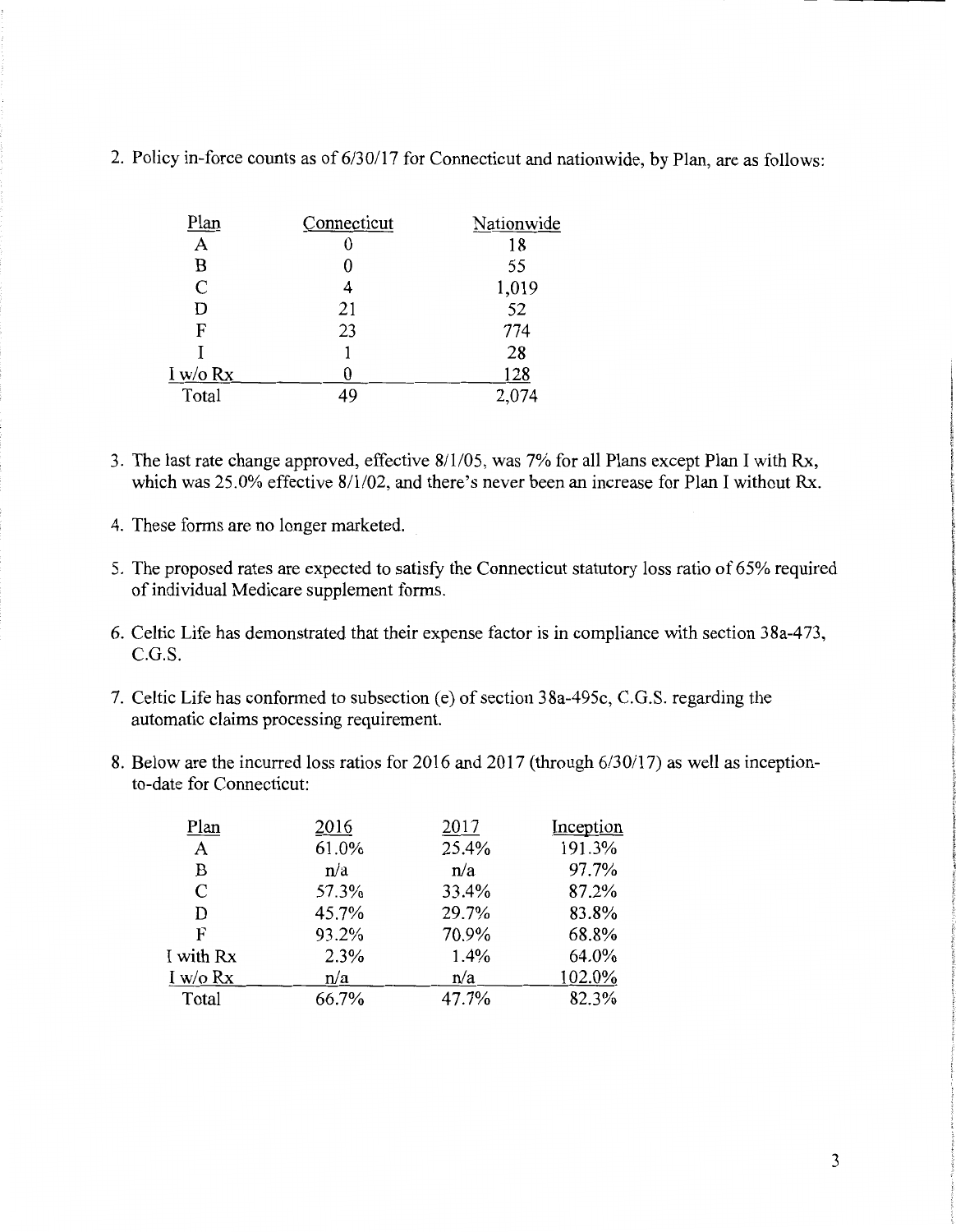| Plan            | Connecticut | Nationwide |
|-----------------|-------------|------------|
| Α               |             | 18         |
| B               | 0           | 55         |
| $\mathcal{C}$   | 4           | 1,019      |
| D               | 21          | 52         |
| F               | 23          | 774        |
|                 |             | 28         |
| <u>I w/o Rx</u> |             | 128        |
| Total           | 49          | 2,074      |

2. Policy in-force counts as of 6/30/17 for Connecticut and nationwide, by Plan, are as follows:

- 3. The last rate change approved, effective 8/1105, was 7% for all Plans except Plan I with Rx, which was 25.0% effective 8/1/02, and there's never been an increase for Plan I without Rx.
- 4. These forms are no longer marketed.
- 5. The proposed rates are expected to satisfy the Connecticut statutory loss ratio of 65% required of individual Medicare supplement forms.
- 6. Celtic Life has demonstrated that their expense factor is in compliance with section 38a-473, C.G.S.
- 7. Celtic Life has conformed to subsection (e) of section 38a-495c, C.G.S. regarding the automatic claims processing requirement.
- 8. Below are the incurred loss ratios for 2016 and 2017 (through 6/30/17) as well as inceptionto-date for Connecticut:

| Plan          | 2016  | 2017  | Inception |
|---------------|-------|-------|-----------|
| A             | 61.0% | 25.4% | 191.3%    |
| В             | n/a   | n/a   | 97.7%     |
| $\mathcal{C}$ | 57.3% | 33.4% | 87.2%     |
| D             | 45.7% | 29.7% | 83.8%     |
| F             | 93.2% | 70.9% | 68.8%     |
| I with Rx     | 2.3%  | 1.4%  | 64.0%     |
| I w/o $Rx$    | n/a   | n/a   | 102.0%    |
| Total         | 66.7% | 47.7% | 82.3%     |
|               |       |       |           |